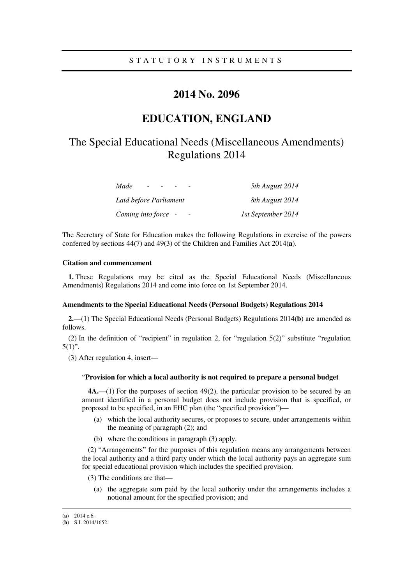### S T A T U T O R Y I N S T R U M E N T S

## **2014 No. 2096**

## **EDUCATION, ENGLAND**

# The Special Educational Needs (Miscellaneous Amendments) Regulations 2014

| Made<br>$\overline{\phantom{a}}$ | 5th August 2014    |
|----------------------------------|--------------------|
| Laid before Parliament           | 8th August 2014    |
| Coming into force -              | 1st September 2014 |

The Secretary of State for Education makes the following Regulations in exercise of the powers conferred by sections 44(7) and 49(3) of the Children and Families Act 2014(**a**).

#### **Citation and commencement**

**1.** These Regulations may be cited as the Special Educational Needs (Miscellaneous Amendments) Regulations 2014 and come into force on 1st September 2014.

#### **Amendments to the Special Educational Needs (Personal Budgets) Regulations 2014**

**2.**—(1) The Special Educational Needs (Personal Budgets) Regulations 2014(**b**) are amended as follows.

(2) In the definition of "recipient" in regulation 2, for "regulation 5(2)" substitute "regulation  $5(1)$ ".

(3) After regulation 4, insert—

#### "**Provision for which a local authority is not required to prepare a personal budget**

**4A.**—(1) For the purposes of section 49(2), the particular provision to be secured by an amount identified in a personal budget does not include provision that is specified, or proposed to be specified, in an EHC plan (the "specified provision")—

- (a) which the local authority secures, or proposes to secure, under arrangements within the meaning of paragraph (2); and
- (b) where the conditions in paragraph (3) apply.

(2) "Arrangements" for the purposes of this regulation means any arrangements between the local authority and a third party under which the local authority pays an aggregate sum for special educational provision which includes the specified provision.

- (3) The conditions are that—
	- (a) the aggregate sum paid by the local authority under the arrangements includes a notional amount for the specified provision; and

<u>.</u>

<sup>(</sup>**a**) 2014 c.6.

<sup>(</sup>**b**) S.I. 2014/1652.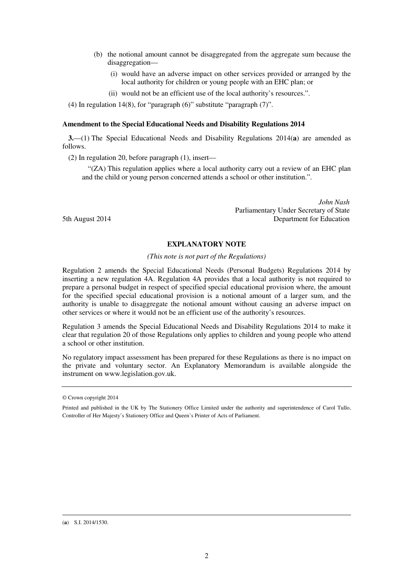- (b) the notional amount cannot be disaggregated from the aggregate sum because the disaggregation—
	- (i) would have an adverse impact on other services provided or arranged by the local authority for children or young people with an EHC plan; or
	- (ii) would not be an efficient use of the local authority's resources.".

(4) In regulation 14(8), for "paragraph (6)" substitute "paragraph (7)".

#### **Amendment to the Special Educational Needs and Disability Regulations 2014**

**3.**—(1) The Special Educational Needs and Disability Regulations 2014(**a**) are amended as follows.

(2) In regulation 20, before paragraph (1), insert—

"(ZA) This regulation applies where a local authority carry out a review of an EHC plan and the child or young person concerned attends a school or other institution.".

*John Nash*  Parliamentary Under Secretary of State 5th August 2014 **Department for Education** 

#### **EXPLANATORY NOTE**

#### *(This note is not part of the Regulations)*

Regulation 2 amends the Special Educational Needs (Personal Budgets) Regulations 2014 by inserting a new regulation 4A. Regulation 4A provides that a local authority is not required to prepare a personal budget in respect of specified special educational provision where, the amount for the specified special educational provision is a notional amount of a larger sum, and the authority is unable to disaggregate the notional amount without causing an adverse impact on other services or where it would not be an efficient use of the authority's resources.

Regulation 3 amends the Special Educational Needs and Disability Regulations 2014 to make it clear that regulation 20 of those Regulations only applies to children and young people who attend a school or other institution.

No regulatory impact assessment has been prepared for these Regulations as there is no impact on the private and voluntary sector. An Explanatory Memorandum is available alongside the instrument on www.legislation.gov.uk.

<u>.</u>

<sup>©</sup> Crown copyright 2014

Printed and published in the UK by The Stationery Office Limited under the authority and superintendence of Carol Tullo, Controller of Her Majesty's Stationery Office and Queen's Printer of Acts of Parliament.